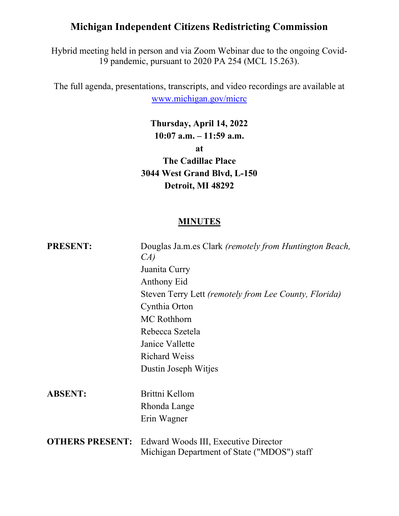# Michigan Independent Citizens Redistricting Commission

Hybrid meeting held in person and via Zoom Webinar due to the ongoing Covid-19 pandemic, pursuant to 2020 PA 254 (MCL 15.263).

The full agenda, presentations, transcripts, and video recordings are available at www.michigan.gov/micrc

> Thursday, April 14, 2022 10:07 a.m. – 11:59 a.m.

> > at

The Cadillac Place 3044 West Grand Blvd, L-150 Detroit, MI 48292

### **MINUTES**

| <b>PRESENT:</b>        | Douglas Ja.m.es Clark (remotely from Huntington Beach,<br>CA)                       |
|------------------------|-------------------------------------------------------------------------------------|
|                        | Juanita Curry                                                                       |
|                        | <b>Anthony Eid</b>                                                                  |
|                        | Steven Terry Lett (remotely from Lee County, Florida)                               |
|                        | Cynthia Orton                                                                       |
|                        | <b>MC Rothhorn</b>                                                                  |
|                        | Rebecca Szetela                                                                     |
|                        | Janice Vallette                                                                     |
|                        | Richard Weiss                                                                       |
|                        | Dustin Joseph Witjes                                                                |
| <b>ABSENT:</b>         | Brittni Kellom                                                                      |
|                        | Rhonda Lange                                                                        |
|                        | Erin Wagner                                                                         |
| <b>OTHERS PRESENT:</b> | Edward Woods III, Executive Director<br>Michigan Department of State ("MDOS") staff |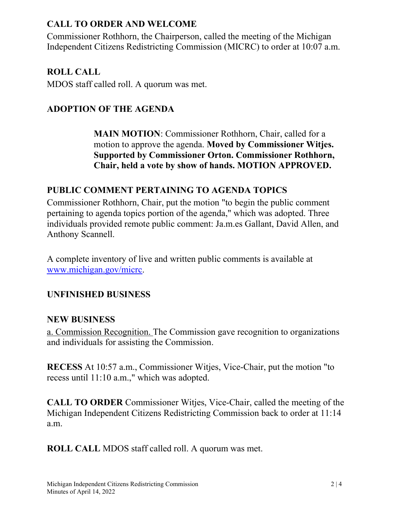## CALL TO ORDER AND WELCOME

Commissioner Rothhorn, the Chairperson, called the meeting of the Michigan Independent Citizens Redistricting Commission (MICRC) to order at 10:07 a.m.

### ROLL CALL

MDOS staff called roll. A quorum was met.

## ADOPTION OF THE AGENDA

MAIN MOTION: Commissioner Rothhorn, Chair, called for a motion to approve the agenda. Moved by Commissioner Witjes. Supported by Commissioner Orton. Commissioner Rothhorn, Chair, held a vote by show of hands. MOTION APPROVED.

### PUBLIC COMMENT PERTAINING TO AGENDA TOPICS

Commissioner Rothhorn, Chair, put the motion "to begin the public comment pertaining to agenda topics portion of the agenda," which was adopted. Three individuals provided remote public comment: Ja.m.es Gallant, David Allen, and Anthony Scannell.

A complete inventory of live and written public comments is available at www.michigan.gov/micrc.

### UNFINISHED BUSINESS

#### NEW BUSINESS

a. Commission Recognition. The Commission gave recognition to organizations and individuals for assisting the Commission.

RECESS At 10:57 a.m., Commissioner Witjes, Vice-Chair, put the motion "to recess until 11:10 a.m.," which was adopted.

CALL TO ORDER Commissioner Witjes, Vice-Chair, called the meeting of the Michigan Independent Citizens Redistricting Commission back to order at 11:14 a.m.

ROLL CALL MDOS staff called roll. A quorum was met.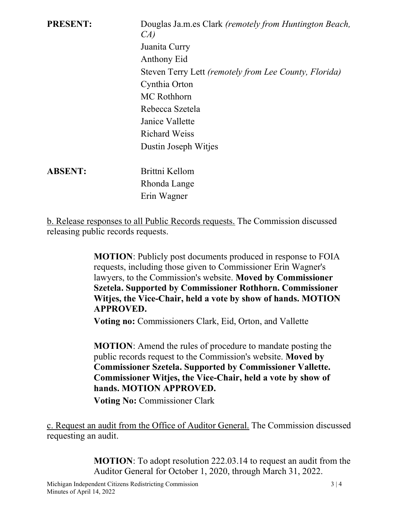| <b>PRESENT:</b> | Douglas Ja.m.es Clark (remotely from Huntington Beach,<br>CA) |
|-----------------|---------------------------------------------------------------|
|                 | Juanita Curry                                                 |
|                 | Anthony Eid                                                   |
|                 | Steven Terry Lett (remotely from Lee County, Florida)         |
|                 | Cynthia Orton                                                 |
|                 | <b>MC</b> Rothhorn                                            |
|                 | Rebecca Szetela                                               |
|                 | Janice Vallette                                               |
|                 | <b>Richard Weiss</b>                                          |
|                 | Dustin Joseph Witjes                                          |
| <b>ABSENT:</b>  | Brittni Kellom                                                |
|                 | Rhonda Lange                                                  |
|                 | Erin Wagner                                                   |
|                 |                                                               |

b. Release responses to all Public Records requests. The Commission discussed releasing public records requests.

> MOTION: Publicly post documents produced in response to FOIA requests, including those given to Commissioner Erin Wagner's lawyers, to the Commission's website. Moved by Commissioner Szetela. Supported by Commissioner Rothhorn. Commissioner Witjes, the Vice-Chair, held a vote by show of hands. MOTION APPROVED.

Voting no: Commissioners Clark, Eid, Orton, and Vallette

MOTION: Amend the rules of procedure to mandate posting the public records request to the Commission's website. Moved by Commissioner Szetela. Supported by Commissioner Vallette. Commissioner Witjes, the Vice-Chair, held a vote by show of hands. MOTION APPROVED.

Voting No: Commissioner Clark

c. Request an audit from the Office of Auditor General. The Commission discussed requesting an audit.

> MOTION: To adopt resolution 222.03.14 to request an audit from the Auditor General for October 1, 2020, through March 31, 2022.